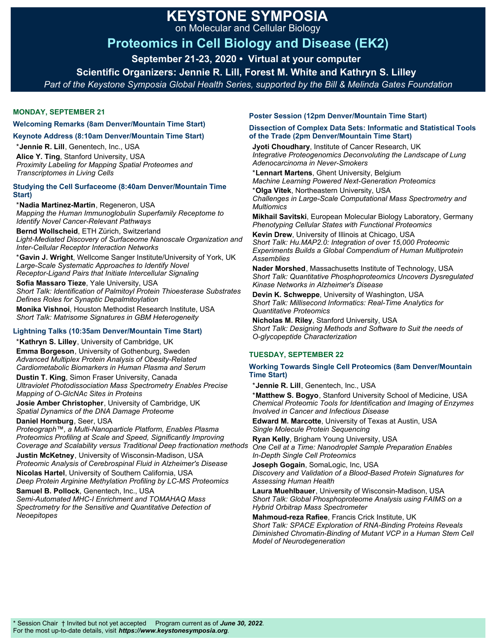# **KEYSTONE SYMPOSIA**

on Molecular and Cellular Biology

# **Proteomics in Cell Biology and Disease (EK2)**

**September 21-23, 2020 • Virtual at your computer** 

**Scientific Organizers: Jennie R. Lill, Forest M. White and Kathryn S. Lilley** 

*Part of the Keystone Symposia Global Health Series, supported by the Bill & Melinda Gates Foundation*

## **MONDAY, SEPTEMBER 21**

#### **Welcoming Remarks (8am Denver/Mountain Time Start)**

**Keynote Address (8:10am Denver/Mountain Time Start)** 

\***Jennie R. Lill**, Genentech, Inc., USA **Alice Y. Ting**, Stanford University, USA *Proximity Labeling for Mapping Spatial Proteomes and Transcriptomes in Living Cells*

#### **Studying the Cell Surfaceome (8:40am Denver/Mountain Time Start)**

\***Nadia Martinez-Martin**, Regeneron, USA *Mapping the Human Immunoglobulin Superfamily Receptome to Identify Novel Cancer-Relevant Pathways*

**Bernd Wollscheid**, ETH Zürich, Switzerland *Light-Mediated Discovery of Surfaceome Nanoscale Organization and Inter-Cellular Receptor Interaction Networks*

\***Gavin J. Wright**, Wellcome Sanger Institute/University of York, UK *Large-Scale Systematic Approaches to Identify Novel Receptor-Ligand Pairs that Initiate Intercellular Signaling*

**Sofia Massaro Tieze**, Yale University, USA *Short Talk: Identification of Palmitoyl Protein Thioesterase Substrates Defines Roles for Synaptic Depalmitoylation* **Monika Vishnoi**, Houston Methodist Research Institute, USA

*Short Talk: Matrisome Signatures in GBM Heterogeneity*

## **Lightning Talks (10:35am Denver/Mountain Time Start)**

\***Kathryn S. Lilley**, University of Cambridge, UK

**Emma Borgeson**, University of Gothenburg, Sweden *Advanced Multiplex Protein Analysis of Obesity-Related Cardiometabolic Biomarkers in Human Plasma and Serum*

**Dustin T. King**, Simon Fraser University, Canada *Ultraviolet Photodissociation Mass Spectrometry Enables Precise Mapping of O-GlcNAc Sites in Proteins*

**Josie Amber Christopher**, University of Cambridge, UK *Spatial Dynamics of the DNA Damage Proteome*

**Daniel Hornburg**, Seer, USA

*Proteograph™, a Multi-Nanoparticle Platform, Enables Plasma Proteomics Profiling at Scale and Speed, Significantly Improving Coverage and Scalability versus Traditional Deep fractionation methods*

**Justin McKetney**, University of Wisconsin-Madison, USA *Proteomic Analysis of Cerebrospinal Fluid in Alzheimer's Disease*

**Nicolas Hartel**, University of Southern California, USA *Deep Protein Arginine Methylation Profiling by LC-MS Proteomics*

**Samuel B. Pollock**, Genentech, Inc., USA *Semi-Automated MHC-I Enrichment and TOMAHAQ Mass Spectrometry for the Sensitive and Quantitative Detection of Neoepitopes*

## **Poster Session (12pm Denver/Mountain Time Start)**

#### **Dissection of Complex Data Sets: Informatic and Statistical Tools of the Trade (2pm Denver/Mountain Time Start)**

**Jyoti Choudhary**, Institute of Cancer Research, UK *Integrative Proteogenomics Deconvoluting the Landscape of Lung Adenocarcinoma in Never-Smokers*

\***Lennart Martens**, Ghent University, Belgium *Machine Learning Powered Next-Generation Proteomics*

\***Olga Vitek**, Northeastern University, USA *Challenges in Large-Scale Computational Mass Spectrometry and Multiomics*

**Mikhail Savitski**, European Molecular Biology Laboratory, Germany *Phenotyping Cellular States with Functional Proteomics*

**Kevin Drew**, University of Illinois at Chicago, USA *Short Talk: Hu.MAP2.0: Integration of over 15,000 Proteomic Experiments Builds a Global Compendium of Human Multiprotein Assemblies*

**Nader Morshed**, Massachusetts Institute of Technology, USA *Short Talk: Quantitative Phosphoproteomics Uncovers Dysregulated Kinase Networks in Alzheimer's Disease*

**Devin K. Schweppe**, University of Washington, USA *Short Talk: Millisecond Informatics: Real-Time Analytics for Quantitative Proteomics*

**Nicholas M. Riley**, Stanford University, USA *Short Talk: Designing Methods and Software to Suit the needs of O-glycopeptide Characterization*

# **TUESDAY, SEPTEMBER 22**

#### **Working Towards Single Cell Proteomics (8am Denver/Mountain Time Start)**

\***Jennie R. Lill**, Genentech, Inc., USA

\***Matthew S. Bogyo**, Stanford University School of Medicine, USA *Chemical Proteomic Tools for Identification and Imaging of Enzymes Involved in Cancer and Infectious Disease*

**Edward M. Marcotte**, University of Texas at Austin, USA *Single Molecule Protein Sequencing*

**Ryan Kelly**, Brigham Young University, USA *One Cell at a Time: Nanodroplet Sample Preparation Enables In-Depth Single Cell Proteomics*

**Joseph Gogain**, SomaLogic, Inc, USA *Discovery and Validation of a Blood-Based Protein Signatures for Assessing Human Health*

**Laura Muehlbauer**, University of Wisconsin-Madison, USA *Short Talk: Global Phosphoproteome Analysis using FAIMS on a Hybrid Orbitrap Mass Spectrometer*

**Mahmoud-reza Rafiee**, Francis Crick Institute, UK *Short Talk: SPACE Exploration of RNA-Binding Proteins Reveals Diminished Chromatin-Binding of Mutant VCP in a Human Stem Cell Model of Neurodegeneration*